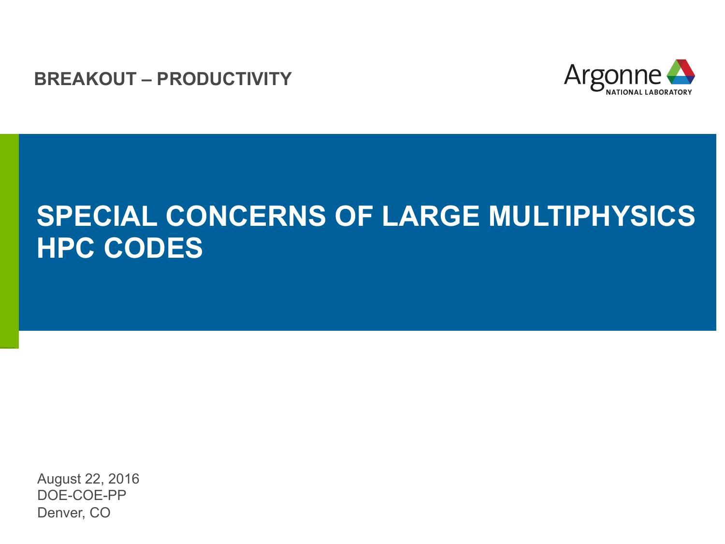**BREAKOUT – PRODUCTIVITY**



#### **SPECIAL CONCERNS OF LARGE MULTIPHYSICS HPC CODES**

August 22, 2016 DOE-COE-PP Denver, CO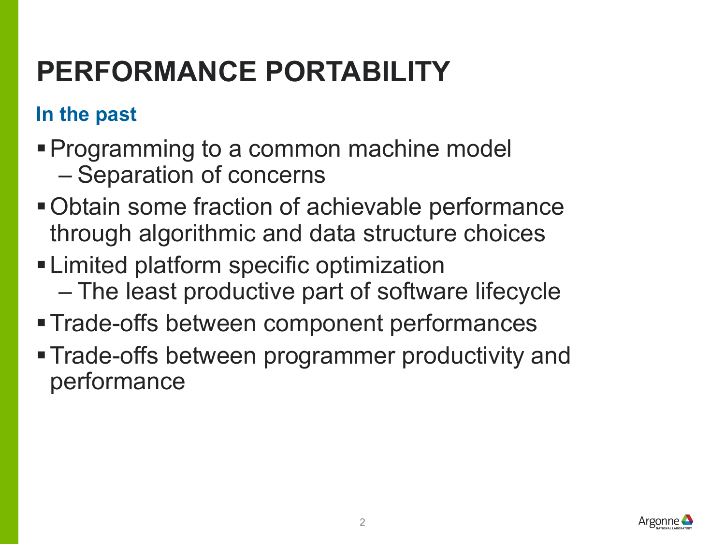# **PERFORMANCE PORTABILITY**

#### **In the past**

- §Programming to a common machine model
	- Separation of concerns
- Obtain some fraction of achievable performance through algorithmic and data structure choices
- Limited platform specific optimization
	- The least productive part of software lifecycle
- §Trade-offs between component performances
- Trade-offs between programmer productivity and performance

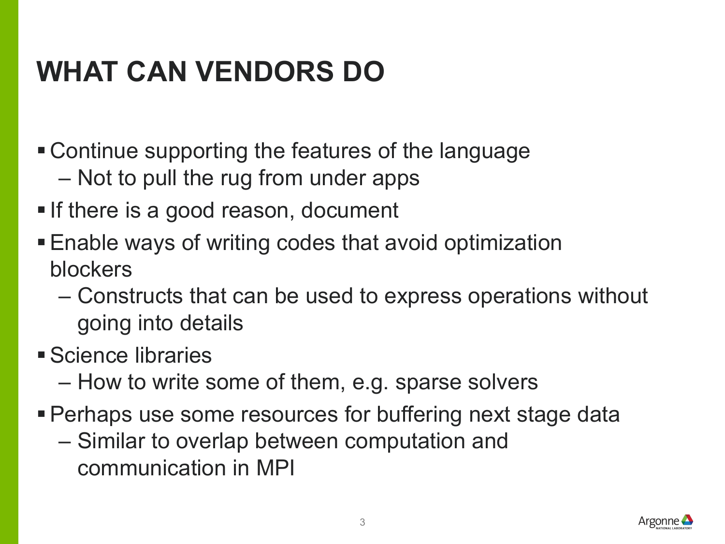# **WHAT CAN VENDORS DO**

- § Continue supporting the features of the language
	- Not to pull the rug from under apps
- If there is a good reason, document
- Enable ways of writing codes that avoid optimization blockers
	- Constructs that can be used to express operations without going into details
- §Science libraries
	- How to write some of them, e.g. sparse solvers
- Perhaps use some resources for buffering next stage data
	- Similar to overlap between computation and communication in MPI

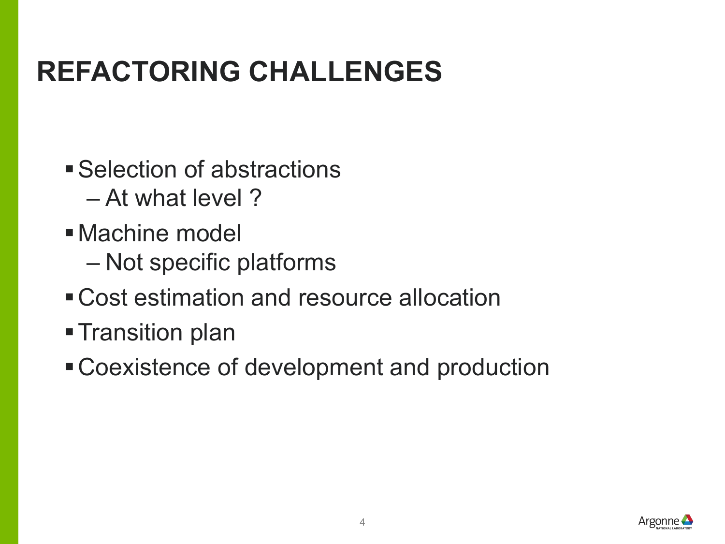## **REFACTORING CHALLENGES**

- Selection of abstractions
	- At what level ?
- §Machine model
	- Not specific platforms
- Cost estimation and resource allocation
- Transition plan
- Coexistence of development and production

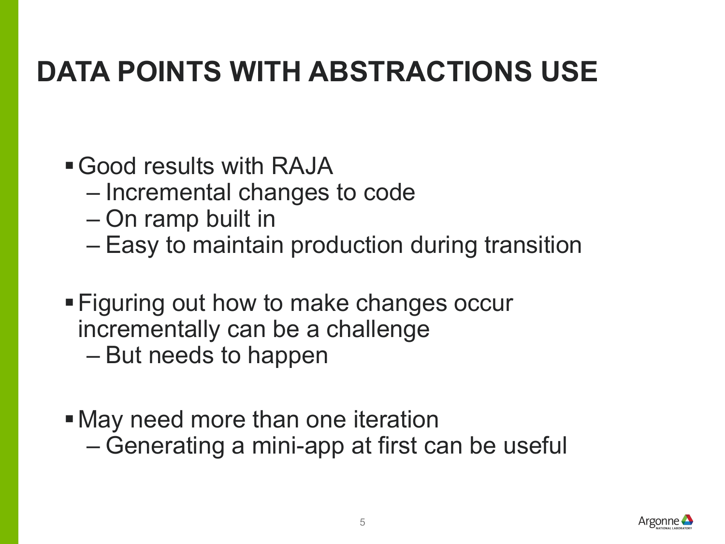## **DATA POINTS WITH ABSTRACTIONS USE**

- Good results with RAJA
	- Incremental changes to code
	- On ramp built in
	- Easy to maintain production during transition
- Figuring out how to make changes occur incrementally can be a challenge
	- But needs to happen
- May need more than one iteration – Generating a mini-app at first can be useful

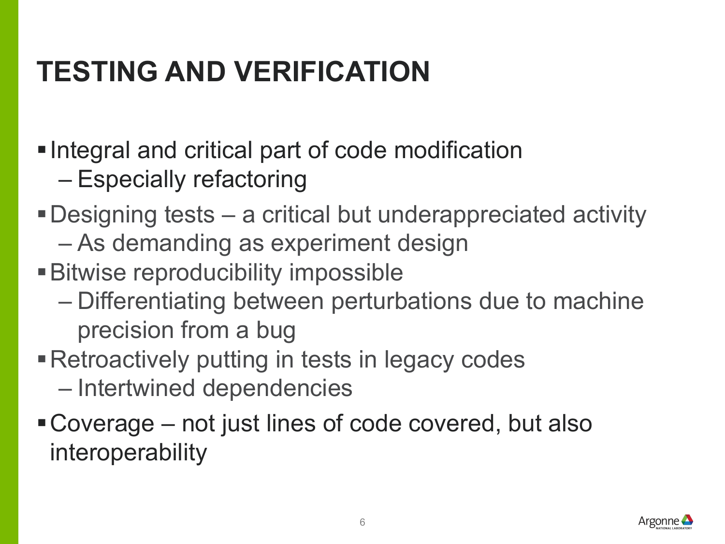# **TESTING AND VERIFICATION**

- Integral and critical part of code modification
	- Especially refactoring
- §Designing tests a critical but underappreciated activity
	- As demanding as experiment design
- **Bitwise reproducibility impossible** 
	- Differentiating between perturbations due to machine precision from a bug
- Retroactively putting in tests in legacy codes
	- Intertwined dependencies
- Coverage not just lines of code covered, but also interoperability

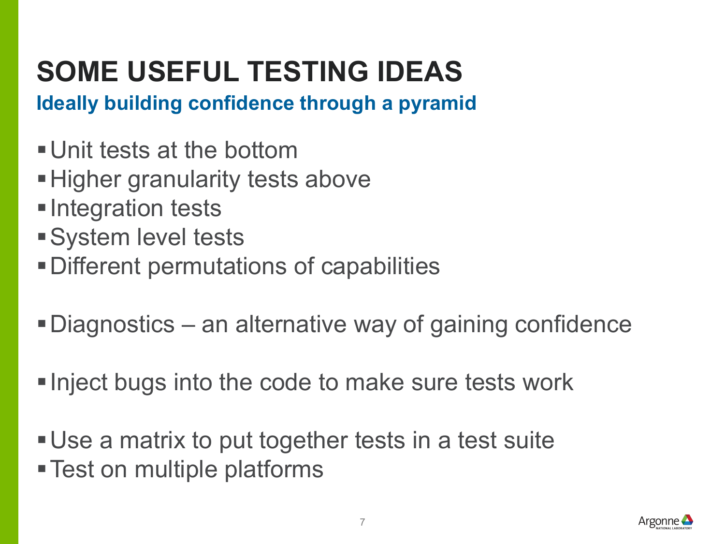# **SOME USEFUL TESTING IDEAS**

**Ideally building confidence through a pyramid**

- Unit tests at the bottom
- Higher granularity tests above
- Integration tests
- System level tests
- §Different permutations of capabilities
- Diagnostics an alternative way of gaining confidence
- Inject bugs into the code to make sure tests work
- Use a matrix to put together tests in a test suite
- Test on multiple platforms

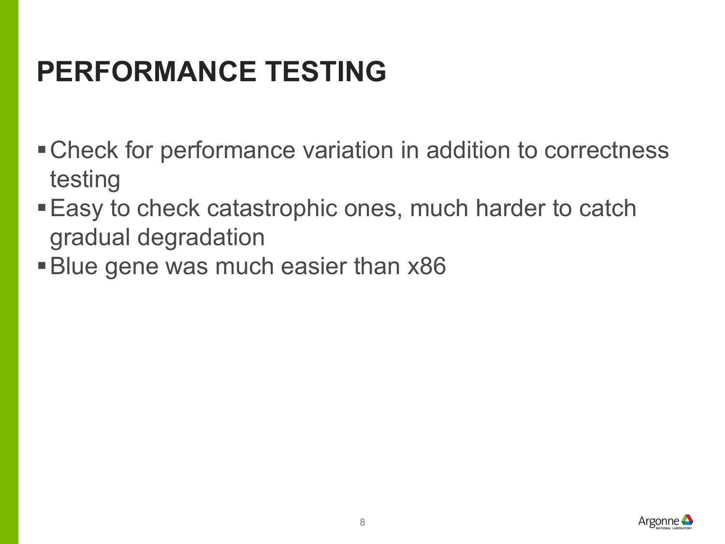# **PERFORMANCE TESTING**

- Check for performance variation in addition to correctness testing
- Easy to check catastrophic ones, much harder to catch gradual degradation
- §Blue gene was much easier than x86